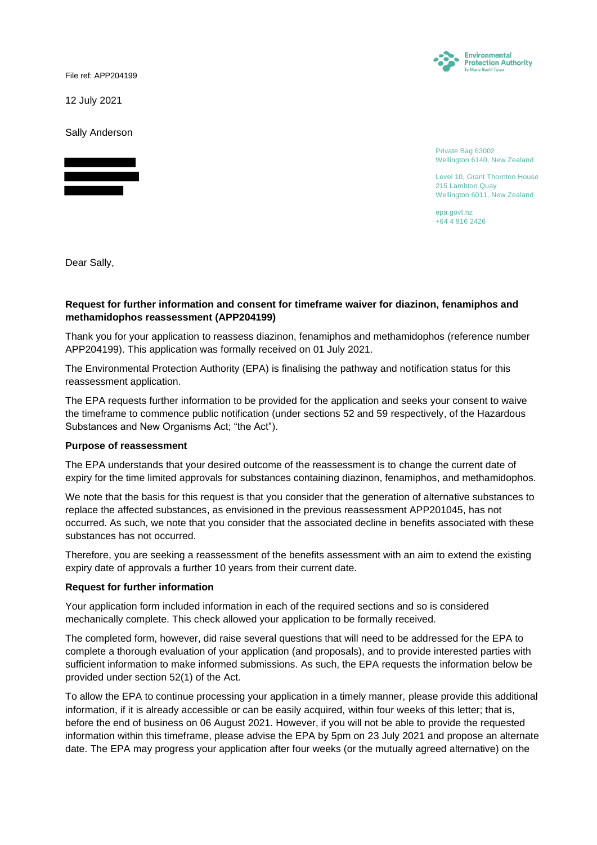File ref: APP204199

12 July 2021

Sally Anderson



Environmental **Protection Authority** 

Private Bag 63002 Wellington 6140, New Zealand

Level 10, Grant Thornton House 215 Lambton Quay Wellington 6011, New Zealand

epa.govt.nz +64 4 916 2426

Dear Sally,

## **Request for further information and consent for timeframe waiver for diazinon, fenamiphos and methamidophos reassessment (APP204199)**

Thank you for your application to reassess diazinon, fenamiphos and methamidophos (reference number APP204199). This application was formally received on 01 July 2021.

The Environmental Protection Authority (EPA) is finalising the pathway and notification status for this reassessment application.

The EPA requests further information to be provided for the application and seeks your consent to waive the timeframe to commence public notification (under sections 52 and 59 respectively, of the Hazardous Substances and New Organisms Act; "the Act").

#### **Purpose of reassessment**

The EPA understands that your desired outcome of the reassessment is to change the current date of expiry for the time limited approvals for substances containing diazinon, fenamiphos, and methamidophos.

We note that the basis for this request is that you consider that the generation of alternative substances to replace the affected substances, as envisioned in the previous reassessment APP201045, has not occurred. As such, we note that you consider that the associated decline in benefits associated with these substances has not occurred.

Therefore, you are seeking a reassessment of the benefits assessment with an aim to extend the existing expiry date of approvals a further 10 years from their current date.

### **Request for further information**

Your application form included information in each of the required sections and so is considered mechanically complete. This check allowed your application to be formally received.

The completed form, however, did raise several questions that will need to be addressed for the EPA to complete a thorough evaluation of your application (and proposals), and to provide interested parties with sufficient information to make informed submissions. As such, the EPA requests the information below be provided under section 52(1) of the Act.

To allow the EPA to continue processing your application in a timely manner, please provide this additional information, if it is already accessible or can be easily acquired, within four weeks of this letter; that is, before the end of business on 06 August 2021. However, if you will not be able to provide the requested information within this timeframe, please advise the EPA by 5pm on 23 July 2021 and propose an alternate date. The EPA may progress your application after four weeks (or the mutually agreed alternative) on the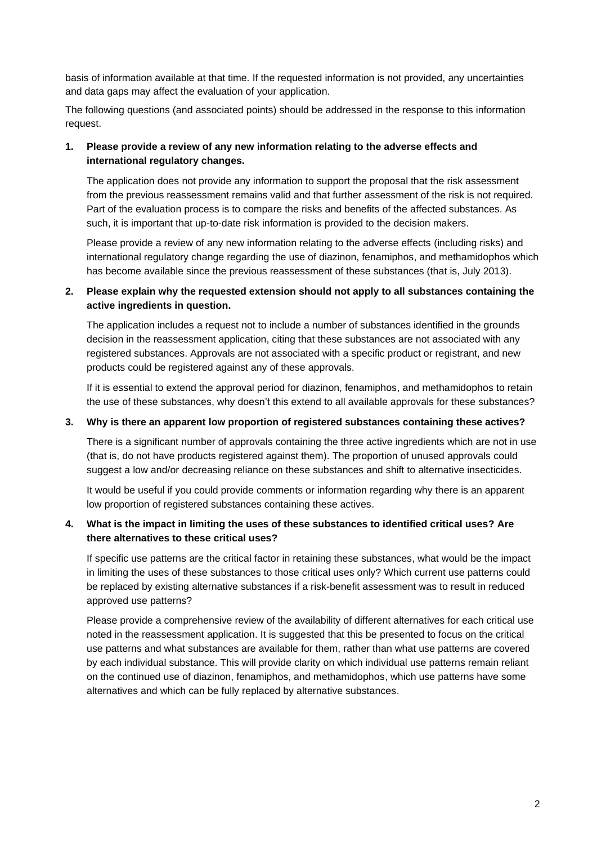basis of information available at that time. If the requested information is not provided, any uncertainties and data gaps may affect the evaluation of your application.

The following questions (and associated points) should be addressed in the response to this information request.

# **1. Please provide a review of any new information relating to the adverse effects and international regulatory changes.**

The application does not provide any information to support the proposal that the risk assessment from the previous reassessment remains valid and that further assessment of the risk is not required. Part of the evaluation process is to compare the risks and benefits of the affected substances. As such, it is important that up-to-date risk information is provided to the decision makers.

Please provide a review of any new information relating to the adverse effects (including risks) and international regulatory change regarding the use of diazinon, fenamiphos, and methamidophos which has become available since the previous reassessment of these substances (that is, July 2013).

# **2. Please explain why the requested extension should not apply to all substances containing the active ingredients in question.**

The application includes a request not to include a number of substances identified in the grounds decision in the reassessment application, citing that these substances are not associated with any registered substances. Approvals are not associated with a specific product or registrant, and new products could be registered against any of these approvals.

If it is essential to extend the approval period for diazinon, fenamiphos, and methamidophos to retain the use of these substances, why doesn't this extend to all available approvals for these substances?

## **3. Why is there an apparent low proportion of registered substances containing these actives?**

There is a significant number of approvals containing the three active ingredients which are not in use (that is, do not have products registered against them). The proportion of unused approvals could suggest a low and/or decreasing reliance on these substances and shift to alternative insecticides.

It would be useful if you could provide comments or information regarding why there is an apparent low proportion of registered substances containing these actives.

# **4. What is the impact in limiting the uses of these substances to identified critical uses? Are there alternatives to these critical uses?**

If specific use patterns are the critical factor in retaining these substances, what would be the impact in limiting the uses of these substances to those critical uses only? Which current use patterns could be replaced by existing alternative substances if a risk-benefit assessment was to result in reduced approved use patterns?

Please provide a comprehensive review of the availability of different alternatives for each critical use noted in the reassessment application. It is suggested that this be presented to focus on the critical use patterns and what substances are available for them, rather than what use patterns are covered by each individual substance. This will provide clarity on which individual use patterns remain reliant on the continued use of diazinon, fenamiphos, and methamidophos, which use patterns have some alternatives and which can be fully replaced by alternative substances.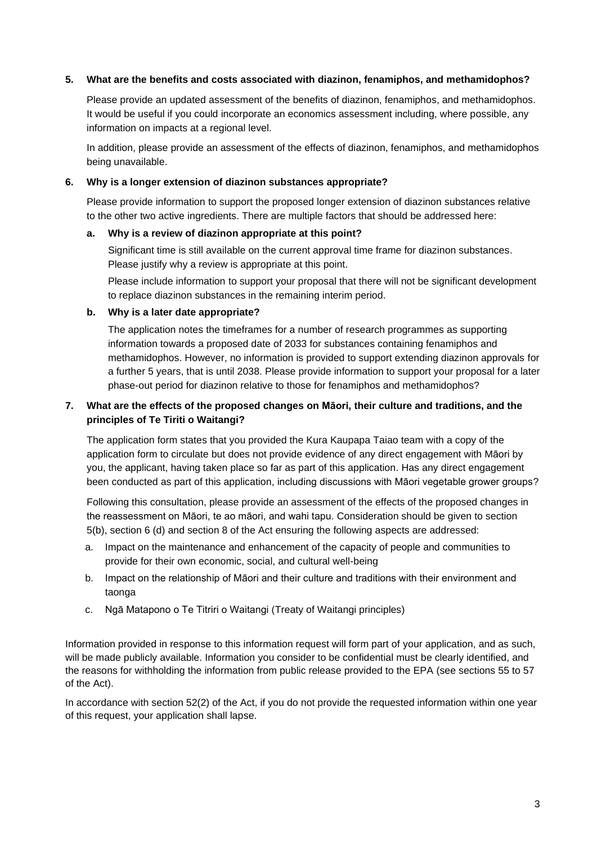### **5. What are the benefits and costs associated with diazinon, fenamiphos, and methamidophos?**

Please provide an updated assessment of the benefits of diazinon, fenamiphos, and methamidophos. It would be useful if you could incorporate an economics assessment including, where possible, any information on impacts at a regional level.

In addition, please provide an assessment of the effects of diazinon, fenamiphos, and methamidophos being unavailable.

#### **6. Why is a longer extension of diazinon substances appropriate?**

Please provide information to support the proposed longer extension of diazinon substances relative to the other two active ingredients. There are multiple factors that should be addressed here:

#### **a. Why is a review of diazinon appropriate at this point?**

Significant time is still available on the current approval time frame for diazinon substances. Please justify why a review is appropriate at this point.

Please include information to support your proposal that there will not be significant development to replace diazinon substances in the remaining interim period.

#### **b. Why is a later date appropriate?**

The application notes the timeframes for a number of research programmes as supporting information towards a proposed date of 2033 for substances containing fenamiphos and methamidophos. However, no information is provided to support extending diazinon approvals for a further 5 years, that is until 2038. Please provide information to support your proposal for a later phase-out period for diazinon relative to those for fenamiphos and methamidophos?

# **7. What are the effects of the proposed changes on Māori, their culture and traditions, and the principles of Te Tiriti o Waitangi?**

The application form states that you provided the Kura Kaupapa Taiao team with a copy of the application form to circulate but does not provide evidence of any direct engagement with Māori by you, the applicant, having taken place so far as part of this application. Has any direct engagement been conducted as part of this application, including discussions with Māori vegetable grower groups?

Following this consultation, please provide an assessment of the effects of the proposed changes in the reassessment on Māori, te ao māori, and wahi tapu. Consideration should be given to section 5(b), section 6 (d) and section 8 of the Act ensuring the following aspects are addressed:

- a. Impact on the maintenance and enhancement of the capacity of people and communities to provide for their own economic, social, and cultural well-being
- b. Impact on the relationship of Māori and their culture and traditions with their environment and taonga
- c. Ngā Matapono o Te Titriri o Waitangi (Treaty of Waitangi principles)

Information provided in response to this information request will form part of your application, and as such, will be made publicly available. Information you consider to be confidential must be clearly identified, and the reasons for withholding the information from public release provided to the EPA (see sections 55 to 57 of the Act).

In accordance with section 52(2) of the Act, if you do not provide the requested information within one year of this request, your application shall lapse.